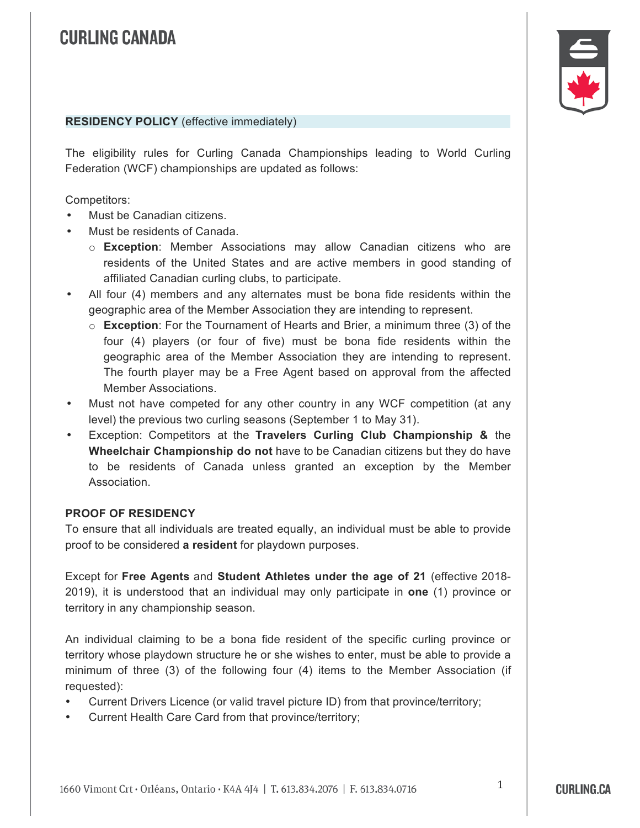

### **RESIDENCY POLICY** (effective immediately)

The eligibility rules for Curling Canada Championships leading to World Curling Federation (WCF) championships are updated as follows:

Competitors:

- Must be Canadian citizens.
- Must be residents of Canada.
	- o **Exception**: Member Associations may allow Canadian citizens who are residents of the United States and are active members in good standing of affiliated Canadian curling clubs, to participate.
- All four (4) members and any alternates must be bona fide residents within the geographic area of the Member Association they are intending to represent.
	- o **Exception**: For the Tournament of Hearts and Brier, a minimum three (3) of the four (4) players (or four of five) must be bona fide residents within the geographic area of the Member Association they are intending to represent. The fourth player may be a Free Agent based on approval from the affected Member Associations.
- Must not have competed for any other country in any WCF competition (at any level) the previous two curling seasons (September 1 to May 31).
- Exception: Competitors at the **Travelers Curling Club Championship &** the **Wheelchair Championship do not** have to be Canadian citizens but they do have to be residents of Canada unless granted an exception by the Member Association.

#### **PROOF OF RESIDENCY**

To ensure that all individuals are treated equally, an individual must be able to provide proof to be considered **a resident** for playdown purposes.

Except for **Free Agents** and **Student Athletes under the age of 21** (effective 2018- 2019), it is understood that an individual may only participate in **one** (1) province or territory in any championship season.

An individual claiming to be a bona fide resident of the specific curling province or territory whose playdown structure he or she wishes to enter, must be able to provide a minimum of three (3) of the following four (4) items to the Member Association (if requested):

- Current Drivers Licence (or valid travel picture ID) from that province/territory;
- Current Health Care Card from that province/territory;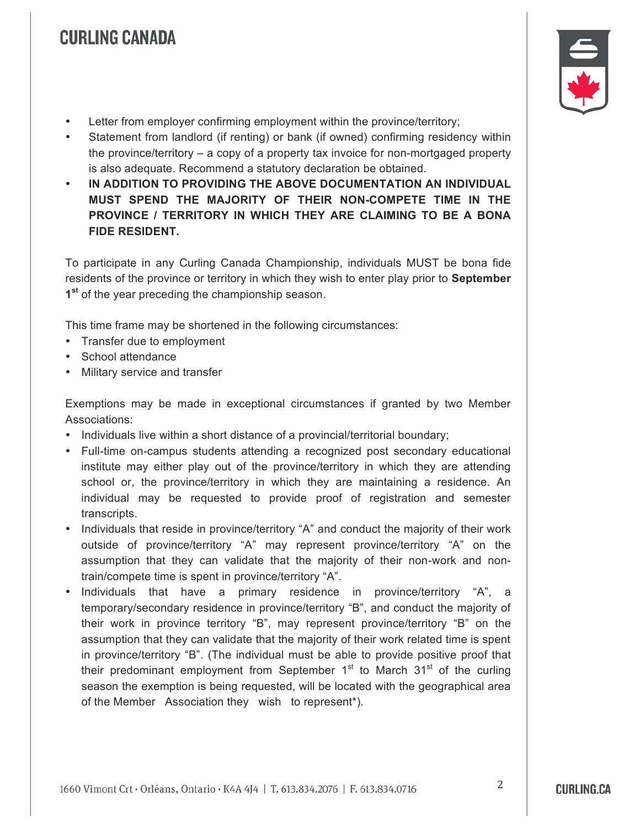- Letter from employer confirming employment within the province/territory;
- Statement from landlord (if renting) or bank (if owned) confirming residency within the province/territory – a copy of a property tax invoice for non-mortgaged property is also adequate. Recommend a statutory declaration be obtained.
- **IN ADDITION TO PROVIDING THE ABOVE DOCUMENTATION AN INDIVIDUAL MUST SPEND THE MAJORITY OF THEIR NON-COMPETE TIME IN THE PROVINCE / TERRITORY IN WHICH THEY ARE CLAIMING TO BE A BONA FIDE RESIDENT.**

To participate in any Curling Canada Championship, individuals MUST be bona fide residents of the province or territory in which they wish to enter play prior to **September 1st** of the year preceding the championship season.

This time frame may be shortened in the following circumstances:

- Transfer due to employment
- School attendance
- Military service and transfer

Exemptions may be made in exceptional circumstances if granted by two Member Associations:

- Individuals live within a short distance of a provincial/territorial boundary;
- Full-time on-campus students attending a recognized post secondary educational institute may either play out of the province/territory in which they are attending school or, the province/territory in which they are maintaining a residence. An individual may be requested to provide proof of registration and semester transcripts.
- Individuals that reside in province/territory "A" and conduct the majority of their work outside of province/territory "A" may represent province/territory "A" on the assumption that they can validate that the majority of their non-work and nontrain/compete time is spent in province/territory "A".
- Individuals that have a primary residence in province/territory "A", a temporary/secondary residence in province/territory "B", and conduct the majority of their work in province territory "B", may represent province/territory "B" on the assumption that they can validate that the majority of their work related time is spent in province/territory "B". (The individual must be able to provide positive proof that their predominant employment from September  $1<sup>st</sup>$  to March 31<sup>st</sup> of the curling season the exemption is being requested, will be located with the geographical area of the Member Association they wish to represent\*).



2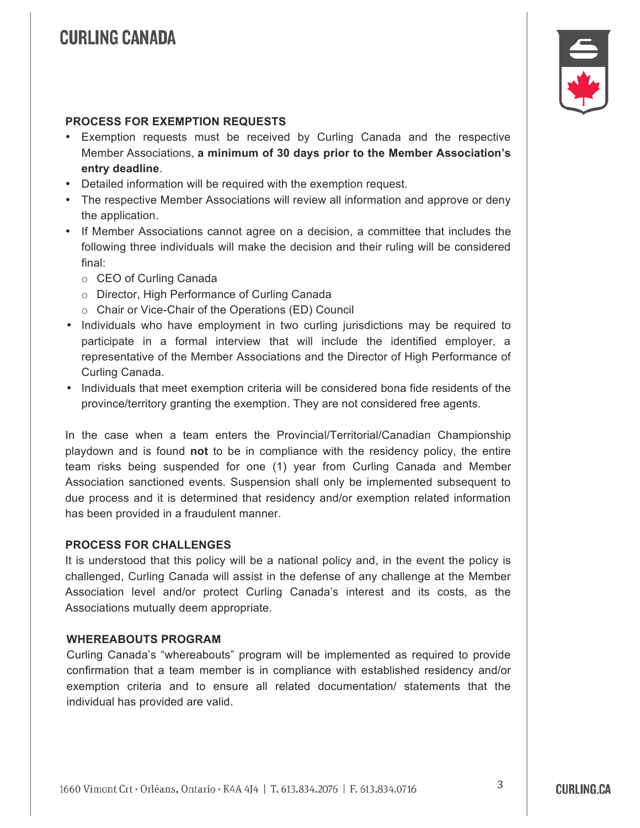

#### **PROCESS FOR EXEMPTION REQUESTS**

- Exemption requests must be received by Curling Canada and the respective Member Associations, **a minimum of 30 days prior to the Member Association's entry deadline**.
- Detailed information will be required with the exemption request.
- The respective Member Associations will review all information and approve or deny the application.
- If Member Associations cannot agree on a decision, a committee that includes the following three individuals will make the decision and their ruling will be considered final:
	- o CEO of Curling Canada
	- o Director, High Performance of Curling Canada
	- o Chair or Vice-Chair of the Operations (ED) Council
- Individuals who have employment in two curling jurisdictions may be required to participate in a formal interview that will include the identified employer, a representative of the Member Associations and the Director of High Performance of Curling Canada.
- Individuals that meet exemption criteria will be considered bona fide residents of the province/territory granting the exemption. They are not considered free agents.

In the case when a team enters the Provincial/Territorial/Canadian Championship playdown and is found **not** to be in compliance with the residency policy, the entire team risks being suspended for one (1) year from Curling Canada and Member Association sanctioned events. Suspension shall only be implemented subsequent to due process and it is determined that residency and/or exemption related information has been provided in a fraudulent manner.

#### **PROCESS FOR CHALLENGES**

It is understood that this policy will be a national policy and, in the event the policy is challenged, Curling Canada will assist in the defense of any challenge at the Member Association level and/or protect Curling Canada's interest and its costs, as the Associations mutually deem appropriate.

#### **WHEREABOUTS PROGRAM**

Curling Canada's "whereabouts" program will be implemented as required to provide confirmation that a team member is in compliance with established residency and/or exemption criteria and to ensure all related documentation/ statements that the individual has provided are valid.